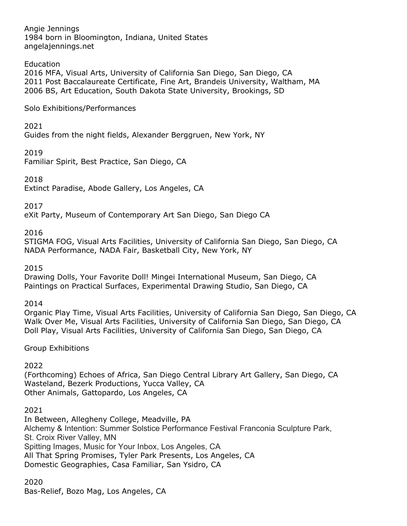Angie Jennings 1984 born in Bloomington, Indiana, United States angelajennings.net

## **Education**

2016 MFA, Visual Arts, University of California San Diego, San Diego, CA 2011 Post Baccalaureate Certificate, Fine Art, Brandeis University, Waltham, MA 2006 BS, Art Education, South Dakota State University, Brookings, SD

Solo Exhibitions/Performances

2021

Guides from the night fields, Alexander Berggruen, New York, NY

2019

Familiar Spirit, Best Practice, San Diego, CA

2018

Extinct Paradise, Abode Gallery, Los Angeles, CA

2017

eXit Party, Museum of Contemporary Art San Diego, San Diego CA

### 2016

STIGMA FOG, Visual Arts Facilities, University of California San Diego, San Diego, CA NADA Performance, NADA Fair, Basketball City, New York, NY

### 2015

Drawing Dolls, Your Favorite Doll! Mingei International Museum, San Diego, CA Paintings on Practical Surfaces, Experimental Drawing Studio, San Diego, CA

2014

Organic Play Time, Visual Arts Facilities, University of California San Diego, San Diego, CA Walk Over Me, Visual Arts Facilities, University of California San Diego, San Diego, CA Doll Play, Visual Arts Facilities, University of California San Diego, San Diego, CA

### Group Exhibitions

2022

(Forthcoming) Echoes of Africa, San Diego Central Library Art Gallery, San Diego, CA Wasteland, Bezerk Productions, Yucca Valley, CA Other Animals, Gattopardo, Los Angeles, CA

### 2021

In Between, Allegheny College, Meadville, PA Alchemy & Intention: Summer Solstice Performance Festival Franconia Sculpture Park, St. Croix River Valley, MN Spitting Images, Music for Your Inbox, Los Angeles, CA All That Spring Promises, Tyler Park Presents, Los Angeles, CA Domestic Geographies, Casa Familiar, San Ysidro, CA

2020 Bas-Relief, Bozo Mag, Los Angeles, CA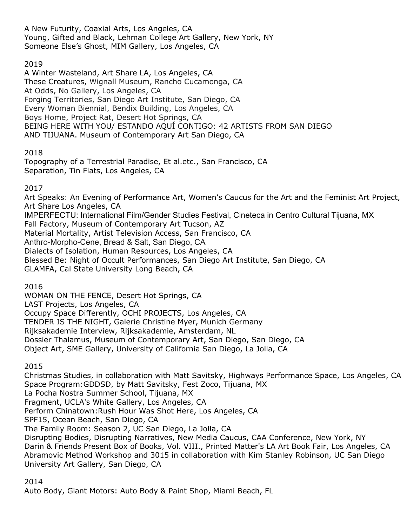A New Futurity, Coaxial Arts, Los Angeles, CA Young, Gifted and Black, Lehman College Art Gallery, New York, NY Someone Else's Ghost, MIM Gallery, Los Angeles, CA

# 2019

A Winter Wasteland, Art Share LA, Los Angeles, CA These Creatures, Wignall Museum, Rancho Cucamonga, CA At Odds, No Gallery, Los Angeles, CA Forging Territories, San Diego Art Institute, San Diego, CA Every Woman Biennial, Bendix Building, Los Angeles, CA Boys Home, Project Rat, Desert Hot Springs, CA BEING HERE WITH YOU/ ESTANDO AQUÍ CONTIGO: 42 ARTISTS FROM SAN DIEGO AND TIJUANA. Museum of Contemporary Art San Diego, CA

# 2018

Topography of a Terrestrial Paradise, Et al.etc., San Francisco, CA Separation, Tin Flats, Los Angeles, CA

# 2017

Art Speaks: An Evening of Performance Art, Women's Caucus for the Art and the Feminist Art Project, Art Share Los Angeles, CA IMPERFECTU: International Film/Gender Studies Festival, Cineteca in Centro Cultural Tijuana, MX Fall Factory, Museum of Contemporary Art Tucson, AZ Material Mortality, Artist Television Access, San Francisco, CA Anthro-Morpho-Cene, Bread & Salt, San Diego, CA Dialects of Isolation, Human Resources, Los Angeles, CA Blessed Be: Night of Occult Performances, San Diego Art Institute, San Diego, CA GLAMFA, Cal State University Long Beach, CA

2016

WOMAN ON THE FENCE, Desert Hot Springs, CA LAST Projects, Los Angeles, CA Occupy Space Differently, OCHI PROJECTS, Los Angeles, CA TENDER IS THE NIGHT, Galerie Christine Myer, Munich Germany Rijksakademie Interview, Rijksakademie, Amsterdam, NL Dossier Thalamus, Museum of Contemporary Art, San Diego, San Diego, CA Object Art, SME Gallery, University of California San Diego, La Jolla, CA

2015

Christmas Studies, in collaboration with Matt Savitsky, Highways Performance Space, Los Angeles, CA Space Program:GDDSD, by Matt Savitsky, Fest Zoco, Tijuana, MX La Pocha Nostra Summer School, Tijuana, MX Fragment, UCLA's White Gallery, Los Angeles, CA Perform Chinatown:Rush Hour Was Shot Here, Los Angeles, CA SPF15, Ocean Beach, San Diego, CA The Family Room: Season 2, UC San Diego, La Jolla, CA Disrupting Bodies, Disrupting Narratives, New Media Caucus, CAA Conference, New York, NY Darin & Friends Present Box of Books, Vol. VIII., Printed Matter's LA Art Book Fair, Los Angeles, CA Abramovic Method Workshop and 3015 in collaboration with Kim Stanley Robinson, UC San Diego University Art Gallery, San Diego, CA

# 2014

Auto Body, Giant Motors: Auto Body & Paint Shop, Miami Beach, FL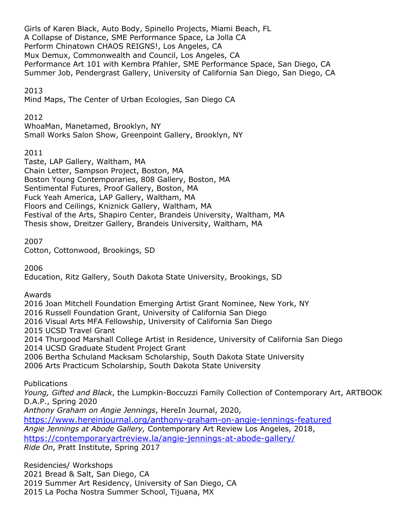Girls of Karen Black, Auto Body, Spinello Projects, Miami Beach, FL A Collapse of Distance, SME Performance Space, La Jolla CA Perform Chinatown CHAOS REIGNS!, Los Angeles, CA Mux Demux, Commonwealth and Council, Los Angeles, CA Performance Art 101 with Kembra Pfahler, SME Performance Space, San Diego, CA Summer Job, Pendergrast Gallery, University of California San Diego, San Diego, CA

## 2013

Mind Maps, The Center of Urban Ecologies, San Diego CA

### 2012

WhoaMan, Manetamed, Brooklyn, NY Small Works Salon Show, Greenpoint Gallery, Brooklyn, NY

### 2011

Taste, LAP Gallery, Waltham, MA Chain Letter, Sampson Project, Boston, MA Boston Young Contemporaries, 808 Gallery, Boston, MA Sentimental Futures, Proof Gallery, Boston, MA Fuck Yeah America, LAP Gallery, Waltham, MA Floors and Ceilings, Kniznick Gallery, Waltham, MA Festival of the Arts, Shapiro Center, Brandeis University, Waltham, MA Thesis show, Dreitzer Gallery, Brandeis University, Waltham, MA

## 2007

Cotton, Cottonwood, Brookings, SD

2006

Education, Ritz Gallery, South Dakota State University, Brookings, SD

### Awards

2016 Joan Mitchell Foundation Emerging Artist Grant Nominee, New York, NY

2016 Russell Foundation Grant, University of California San Diego

2016 Visual Arts MFA Fellowship, University of California San Diego

2015 UCSD Travel Grant

2014 Thurgood Marshall College Artist in Residence, University of California San Diego

2014 UCSD Graduate Student Project Grant

2006 Bertha Schuland Macksam Scholarship, South Dakota State University

2006 Arts Practicum Scholarship, South Dakota State University

# Publications

*Young, Gifted and Black*, the Lumpkin-Boccuzzi Family Collection of Contemporary Art, ARTBOOK D.A.P., Spring 2020

*Anthony Graham on Angie Jennings*, HereIn Journal, 2020,

https://www.hereinjournal.org/anthony-graham-on-angie-jennings-featured

*Angie Jennings at Abode Gallery,* Contemporary Art Review Los Angeles, 2018,

https://contemporaryartreview.la/angie-jennings-at-abode-gallery/

*Ride On*, Pratt Institute, Spring 2017

Residencies/ Workshops

2021 Bread & Salt, San Diego, CA

2019 Summer Art Residency, University of San Diego, CA

2015 La Pocha Nostra Summer School, Tijuana, MX